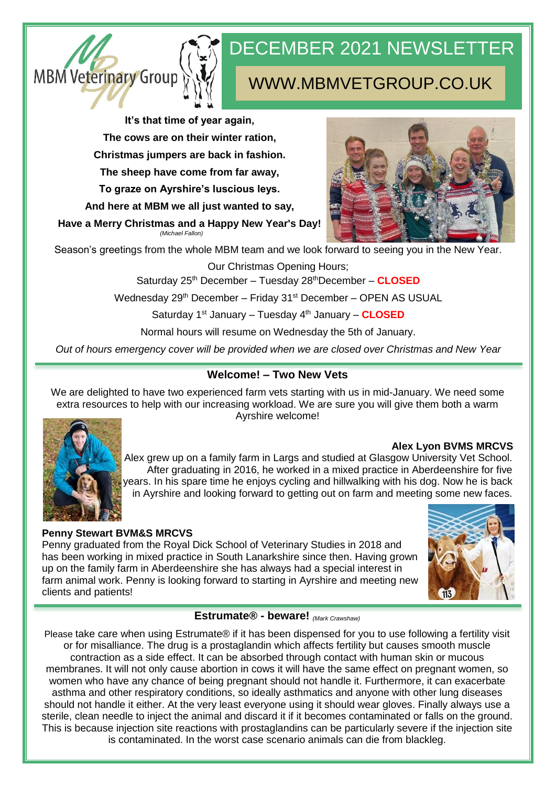

# DECEMBER 2021 NEWSLETTER

# WWW.MBMVETGROUP.CO.UK

**It's that time of year again,**

**The cows are on their winter ration,**

**Christmas jumpers are back in fashion.**

**The sheep have come from far away,**

**To graze on Ayrshire's luscious leys.**

**And here at MBM we all just wanted to say,**

**Have a Merry Christmas and a Happy New Year's Day!** *(Michael Fallon)*



Season's greetings from the whole MBM team and we look forward to seeing you in the New Year.

Our Christmas Opening Hours;

Saturday 25th December – Tuesday 28thDecember – **CLOSED**

Wednesday 29<sup>th</sup> December – Friday 31<sup>st</sup> December – OPEN AS USUAL

Saturday 1<sup>st</sup> January – Tuesday 4<sup>th</sup> January – **CLOSED** 

Normal hours will resume on Wednesday the 5th of January.

*Out of hours emergency cover will be provided when we are closed over Christmas and New Year*

# **Welcome! – Two New Vets**

We are delighted to have two experienced farm vets starting with us in mid-January. We need some extra resources to help with our increasing workload. We are sure you will give them both a warm Ayrshire welcome!



**Alex Lyon BVMS MRCVS**

Alex grew up on a family farm in Largs and studied at Glasgow University Vet School. After graduating in 2016, he worked in a mixed practice in Aberdeenshire for five years. In his spare time he enjoys cycling and hillwalking with his dog. Now he is back in Ayrshire and looking forward to getting out on farm and meeting some new faces.

## **Penny Stewart BVM&S MRCVS**

Penny graduated from the Royal Dick School of Veterinary Studies in 2018 and has been working in mixed practice in South Lanarkshire since then. Having grown up on the family farm in Aberdeenshire she has always had a special interest in farm animal work. Penny is looking forward to starting in Ayrshire and meeting new clients and patients!



#### **Estrumate® - beware!** *(Mark Crawshaw)*

Please take care when using Estrumate® if it has been dispensed for you to use following a fertility visit or for misalliance. The drug is a prostaglandin which affects fertility but causes smooth muscle contraction as a side effect. It can be absorbed through contact with human skin or mucous membranes. It will not only cause abortion in cows it will have the same effect on pregnant women, so women who have any chance of being pregnant should not handle it. Furthermore, it can exacerbate asthma and other respiratory conditions, so ideally asthmatics and anyone with other lung diseases should not handle it either. At the very least everyone using it should wear gloves. Finally always use a sterile, clean needle to inject the animal and discard it if it becomes contaminated or falls on the ground. This is because injection site reactions with prostaglandins can be particularly severe if the injection site is contaminated. In the worst case scenario animals can die from blackleg.